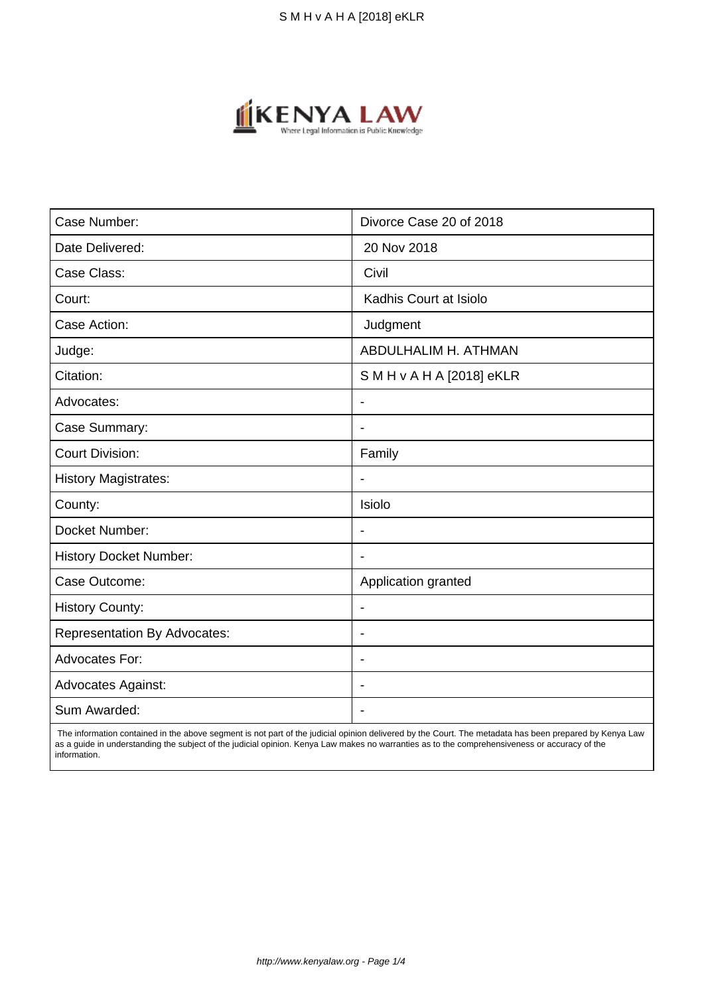

| Case Number:                        | Divorce Case 20 of 2018  |
|-------------------------------------|--------------------------|
| Date Delivered:                     | 20 Nov 2018              |
| Case Class:                         | Civil                    |
| Court:                              | Kadhis Court at Isiolo   |
| Case Action:                        | Judgment                 |
| Judge:                              | ABDULHALIM H. ATHMAN     |
| Citation:                           | SMH v A H A [2018] eKLR  |
| Advocates:                          | $\blacksquare$           |
| Case Summary:                       | $\overline{\phantom{a}}$ |
| <b>Court Division:</b>              | Family                   |
| <b>History Magistrates:</b>         | $\blacksquare$           |
| County:                             | Isiolo                   |
| Docket Number:                      | $\overline{\phantom{a}}$ |
| <b>History Docket Number:</b>       |                          |
| Case Outcome:                       | Application granted      |
| <b>History County:</b>              | $\blacksquare$           |
| <b>Representation By Advocates:</b> | $\blacksquare$           |
| <b>Advocates For:</b>               | $\overline{\phantom{a}}$ |
| <b>Advocates Against:</b>           | $\overline{\phantom{a}}$ |
| Sum Awarded:                        |                          |

 The information contained in the above segment is not part of the judicial opinion delivered by the Court. The metadata has been prepared by Kenya Law as a guide in understanding the subject of the judicial opinion. Kenya Law makes no warranties as to the comprehensiveness or accuracy of the information.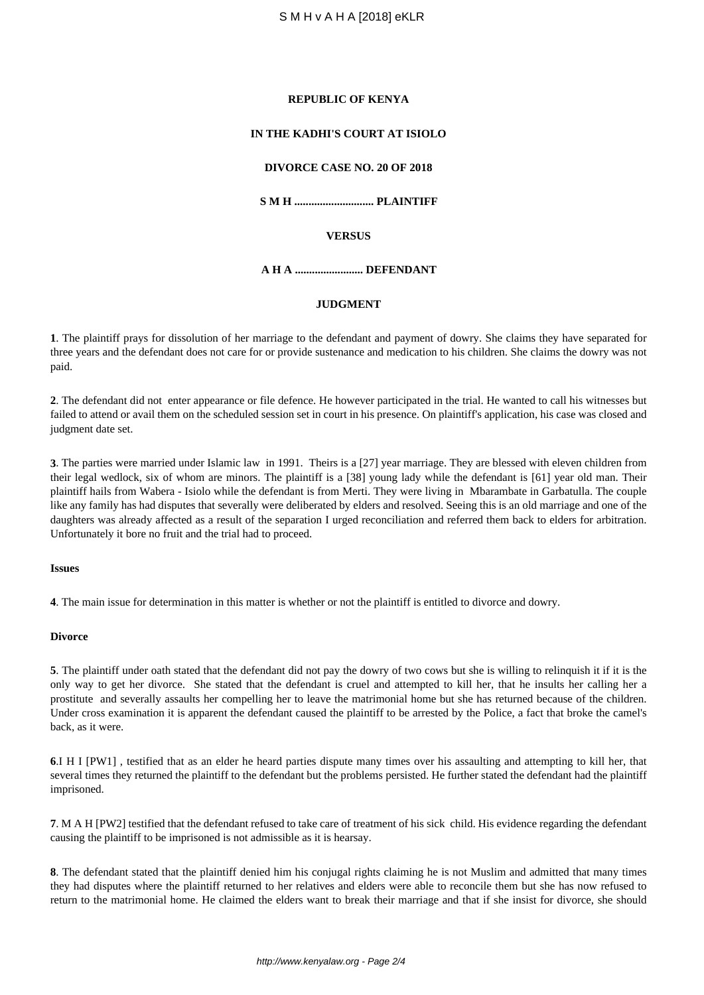#### **REPUBLIC OF KENYA**

# **IN THE KADHI'S COURT AT ISIOLO**

### **DIVORCE CASE NO. 20 OF 2018**

**S M H ............................ PLAINTIFF**

### **VERSUS**

**A H A ........................ DEFENDANT**

### **JUDGMENT**

**1**. The plaintiff prays for dissolution of her marriage to the defendant and payment of dowry. She claims they have separated for three years and the defendant does not care for or provide sustenance and medication to his children. She claims the dowry was not paid.

**2**. The defendant did not enter appearance or file defence. He however participated in the trial. He wanted to call his witnesses but failed to attend or avail them on the scheduled session set in court in his presence. On plaintiff's application, his case was closed and judgment date set.

**3**. The parties were married under Islamic law in 1991. Theirs is a [27] year marriage. They are blessed with eleven children from their legal wedlock, six of whom are minors. The plaintiff is a [38] young lady while the defendant is [61] year old man. Their plaintiff hails from Wabera - Isiolo while the defendant is from Merti. They were living in Mbarambate in Garbatulla. The couple like any family has had disputes that severally were deliberated by elders and resolved. Seeing this is an old marriage and one of the daughters was already affected as a result of the separation I urged reconciliation and referred them back to elders for arbitration. Unfortunately it bore no fruit and the trial had to proceed.

#### **Issues**

**4**. The main issue for determination in this matter is whether or not the plaintiff is entitled to divorce and dowry.

#### **Divorce**

**5**. The plaintiff under oath stated that the defendant did not pay the dowry of two cows but she is willing to relinquish it if it is the only way to get her divorce. She stated that the defendant is cruel and attempted to kill her, that he insults her calling her a prostitute and severally assaults her compelling her to leave the matrimonial home but she has returned because of the children. Under cross examination it is apparent the defendant caused the plaintiff to be arrested by the Police, a fact that broke the camel's back, as it were.

**6**.I H I [PW1] , testified that as an elder he heard parties dispute many times over his assaulting and attempting to kill her, that several times they returned the plaintiff to the defendant but the problems persisted. He further stated the defendant had the plaintiff imprisoned.

**7**. M A H [PW2] testified that the defendant refused to take care of treatment of his sick child. His evidence regarding the defendant causing the plaintiff to be imprisoned is not admissible as it is hearsay.

**8**. The defendant stated that the plaintiff denied him his conjugal rights claiming he is not Muslim and admitted that many times they had disputes where the plaintiff returned to her relatives and elders were able to reconcile them but she has now refused to return to the matrimonial home. He claimed the elders want to break their marriage and that if she insist for divorce, she should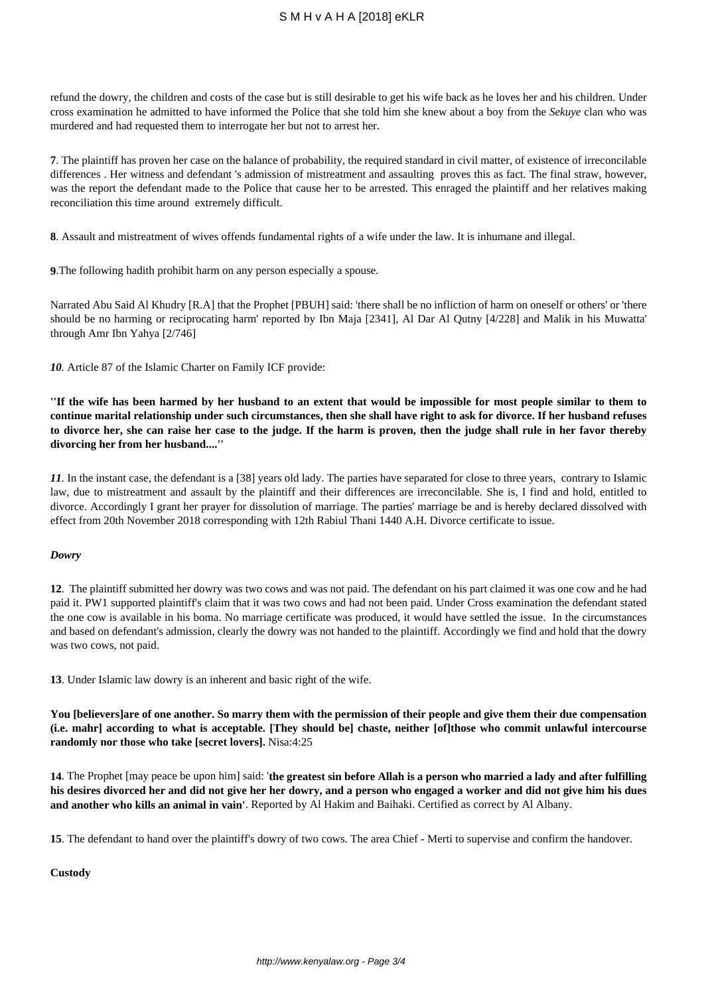# S M H v A H A [2018] eKLR

refund the dowry, the children and costs of the case but is still desirable to get his wife back as he loves her and his children. Under cross examination he admitted to have informed the Police that she told him she knew about a boy from the *Sekuye* clan who was murdered and had requested them to interrogate her but not to arrest her.

**7**. The plaintiff has proven her case on the balance of probability, the required standard in civil matter, of existence of irreconcilable differences . Her witness and defendant 's admission of mistreatment and assaulting proves this as fact. The final straw, however, was the report the defendant made to the Police that cause her to be arrested. This enraged the plaintiff and her relatives making reconciliation this time around extremely difficult.

**8**. Assault and mistreatment of wives offends fundamental rights of a wife under the law. It is inhumane and illegal.

**9**.The following hadith prohibit harm on any person especially a spouse.

Narrated Abu Said Al Khudry [R.A] that the Prophet [PBUH] said: 'there shall be no infliction of harm on oneself or others' or 'there should be no harming or reciprocating harm' reported by Ibn Maja [2341], Al Dar Al Qutny [4/228] and Malik in his Muwatta' through Amr Ibn Yahya [2/746]

*10.* Article 87 of the Islamic Charter on Family ICF provide:

**''If the wife has been harmed by her husband to an extent that would be impossible for most people similar to them to continue marital relationship under such circumstances, then she shall have right to ask for divorce. If her husband refuses to divorce her, she can raise her case to the judge. If the harm is proven, then the judge shall rule in her favor thereby divorcing her from her husband....''** 

*11.* In the instant case, the defendant is a [38] years old lady. The parties have separated for close to three years, contrary to Islamic law, due to mistreatment and assault by the plaintiff and their differences are irreconcilable. She is, I find and hold, entitled to divorce. Accordingly I grant her prayer for dissolution of marriage. The parties' marriage be and is hereby declared dissolved with effect from 20th November 2018 corresponding with 12th Rabiul Thani 1440 A.H. Divorce certificate to issue.

### *Dowry*

**12**. The plaintiff submitted her dowry was two cows and was not paid. The defendant on his part claimed it was one cow and he had paid it. PW1 supported plaintiff's claim that it was two cows and had not been paid. Under Cross examination the defendant stated the one cow is available in his boma. No marriage certificate was produced, it would have settled the issue. In the circumstances and based on defendant's admission, clearly the dowry was not handed to the plaintiff. Accordingly we find and hold that the dowry was two cows, not paid.

**13**. Under Islamic law dowry is an inherent and basic right of the wife.

**You [believers]are of one another. So marry them with the permission of their people and give them their due compensation (i.e. mahr] according to what is acceptable. [They should be] chaste, neither [of]those who commit unlawful intercourse randomly nor those who take [secret lovers].** Nisa:4:25

**14**. The Prophet [may peace be upon him] said: '**the greatest sin before Allah is a person who married a lady and after fulfilling his desires divorced her and did not give her her dowry, and a person who engaged a worker and did not give him his dues and another who kills an animal in vain'**. Reported by Al Hakim and Baihaki. Certified as correct by Al Albany.

**15**. The defendant to hand over the plaintiff's dowry of two cows. The area Chief - Merti to supervise and confirm the handover.

**Custody**